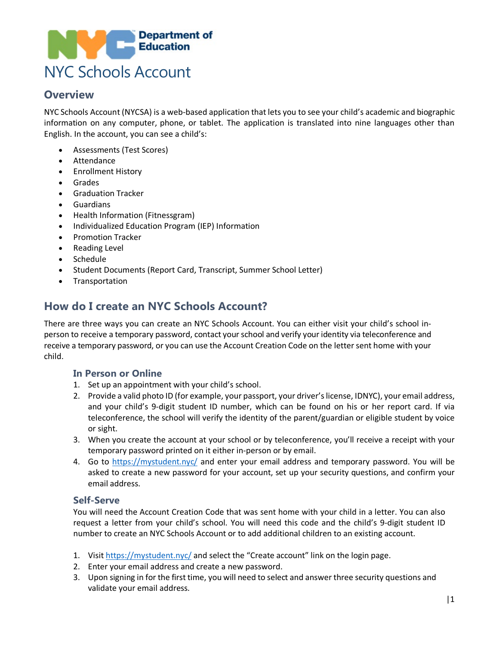

#### **Overview**

NYC Schools Account (NYCSA) is a web-based application that lets you to see your child's academic and biographic information on any computer, phone, or tablet. The application is translated into nine languages other than English. In the account, you can see a child's:

- Assessments (Test Scores)
- Attendance
- Enrollment History
- Grades
- Graduation Tracker
- Guardians
- Health Information (Fitnessgram)
- Individualized Education Program (IEP) Information
- Promotion Tracker
- Reading Level
- Schedule
- Student Documents (Report Card, Transcript, Summer School Letter)
- **Transportation**

### **How do I create an NYC Schools Account?**

There are three ways you can create an NYC Schools Account. You can either visit your child's school inperson to receive a temporary password, contact your school and verify your identity via teleconference and receive a temporary password, or you can use the Account Creation Code on the letter sent home with your child.

#### **In Person or Online**

- 1. Set up an appointment with your child's school.
- 2. Provide a valid photo ID (for example, your passport, your driver's license, IDNYC), your email address, and your child's 9-digit student ID number, which can be found on his or her report card. If via teleconference, the school will verify the identity of the parent/guardian or eligible student by voice or sight.
- 3. When you create the account at your school or by teleconference, you'll receive a receipt with your temporary password printed on it either in-person or by email.
- 4. Go to<https://mystudent.nyc/> and enter your email address and temporary password. You will be asked to create a new password for your account, set up your security questions, and confirm your email address.

#### **Self-Serve**

You will need the Account Creation Code that was sent home with your child in a letter. You can also request a letter from your child's school. You will need this code and the child's 9-digit student ID number to create an NYC Schools Account or to add additional children to an existing account.

- 1. Visi[t https://mystudent.nyc/](https://mystudent.nyc/) and select the "Create account" link on the login page.
- 2. Enter your email address and create a new password.
- 3. Upon signing in for the first time, you will need to select and answer three security questions and validate your email address.